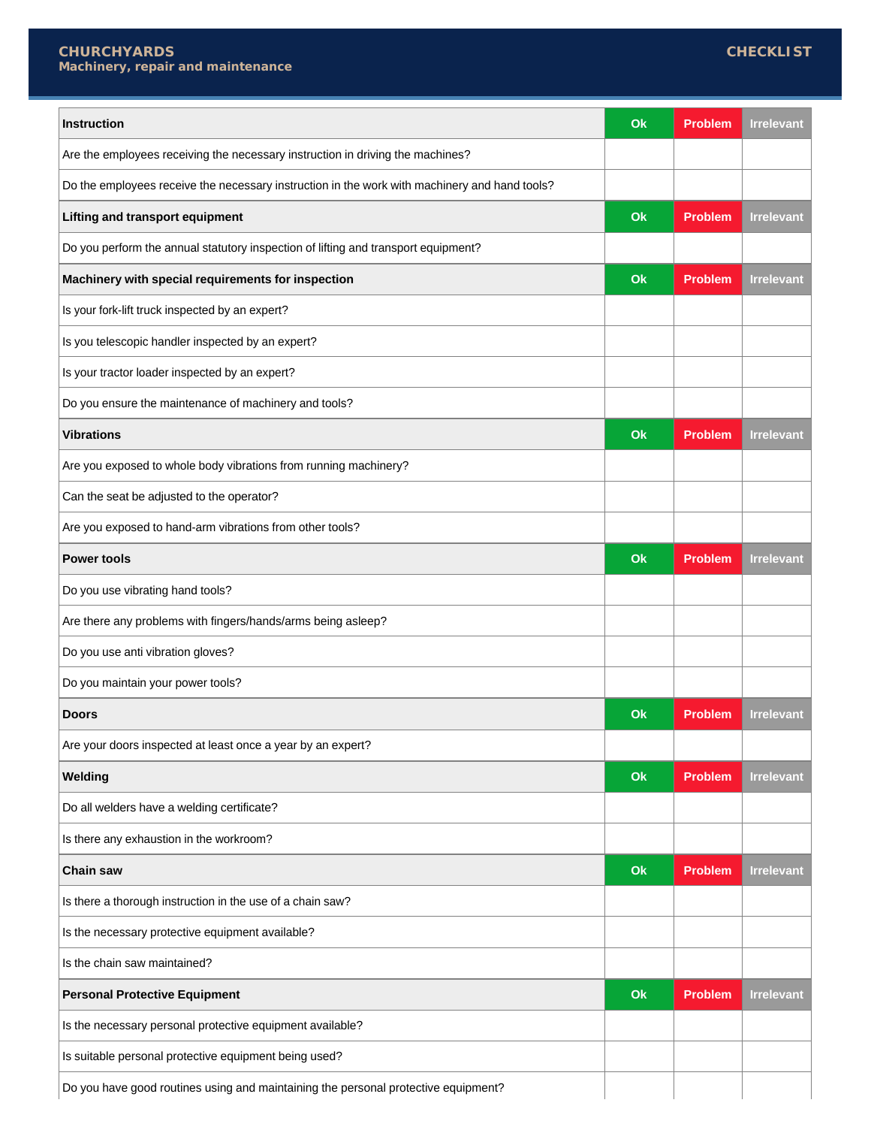$\overline{\phantom{a}}$ 

| <b>Instruction</b>                                                                            | Ok | <b>Problem</b> | <b>Irrelevant</b> |
|-----------------------------------------------------------------------------------------------|----|----------------|-------------------|
| Are the employees receiving the necessary instruction in driving the machines?                |    |                |                   |
| Do the employees receive the necessary instruction in the work with machinery and hand tools? |    |                |                   |
| <b>Lifting and transport equipment</b>                                                        | Ok | Problem        | <b>Irrelevant</b> |
| Do you perform the annual statutory inspection of lifting and transport equipment?            |    |                |                   |
| Machinery with special requirements for inspection                                            | Ok | <b>Problem</b> | <b>Irrelevant</b> |
| Is your fork-lift truck inspected by an expert?                                               |    |                |                   |
| Is you telescopic handler inspected by an expert?                                             |    |                |                   |
| Is your tractor loader inspected by an expert?                                                |    |                |                   |
| Do you ensure the maintenance of machinery and tools?                                         |    |                |                   |
| <b>Vibrations</b>                                                                             | Ok | <b>Problem</b> | <b>Irrelevant</b> |
| Are you exposed to whole body vibrations from running machinery?                              |    |                |                   |
| Can the seat be adjusted to the operator?                                                     |    |                |                   |
| Are you exposed to hand-arm vibrations from other tools?                                      |    |                |                   |
| <b>Power tools</b>                                                                            | Ok | <b>Problem</b> | <b>Irrelevant</b> |
| Do you use vibrating hand tools?                                                              |    |                |                   |
| Are there any problems with fingers/hands/arms being asleep?                                  |    |                |                   |
| Do you use anti vibration gloves?                                                             |    |                |                   |
| Do you maintain your power tools?                                                             |    |                |                   |
| <b>Doors</b>                                                                                  | Ok | <b>Problem</b> | <b>Irrelevant</b> |
| Are your doors inspected at least once a year by an expert?                                   |    |                |                   |
| Welding                                                                                       | Ok | <b>Problem</b> | <b>Irrelevant</b> |
| Do all welders have a welding certificate?                                                    |    |                |                   |
| Is there any exhaustion in the workroom?                                                      |    |                |                   |
| <b>Chain saw</b>                                                                              | Ok | <b>Problem</b> | <b>Irrelevant</b> |
| Is there a thorough instruction in the use of a chain saw?                                    |    |                |                   |
| Is the necessary protective equipment available?                                              |    |                |                   |
| Is the chain saw maintained?                                                                  |    |                |                   |
| <b>Personal Protective Equipment</b>                                                          | Ok | <b>Problem</b> | <b>Irrelevant</b> |
| Is the necessary personal protective equipment available?                                     |    |                |                   |
| Is suitable personal protective equipment being used?                                         |    |                |                   |
| Do you have good routines using and maintaining the personal protective equipment?            |    |                |                   |